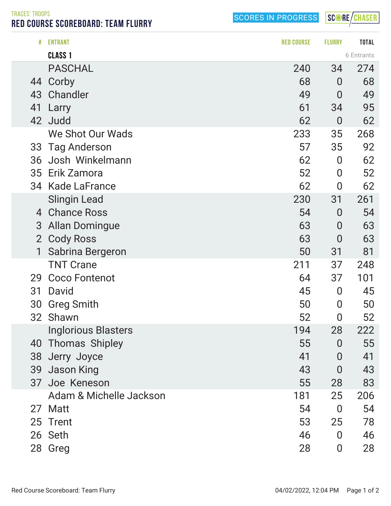TRACES' TROOPS

RED COURSE SCOREBOARD: TEAM FLURRY

SCORES IN PROGRESS

SCORE/CHASER

| #              | <b>ENTRANT</b>             | <b>RED COURSE</b> | <b>FLURRY</b>    | <b>TOTAL</b> |
|----------------|----------------------------|-------------------|------------------|--------------|
|                | <b>CLASS 1</b>             |                   |                  | 6 Entrants   |
|                | <b>PASCHAL</b>             | 240               | 34               | 274          |
|                | 44 Corby                   | 68                | $\bf{0}$         | 68           |
| 43             | Chandler                   | 49                | $\overline{0}$   | 49           |
| 41             | Larry                      | 61                | 34               | 95           |
| 42             | Judd                       | 62                | $\overline{0}$   | 62           |
|                | We Shot Our Wads           | 233               | 35               | 268          |
| 33             | <b>Tag Anderson</b>        | 57                | 35               | 92           |
| 36             | Josh Winkelmann            | 62                | $\overline{0}$   | 62           |
| 35             | Erik Zamora                | 52                | $\overline{0}$   | 52           |
| 34             | <b>Kade LaFrance</b>       | 62                | $\overline{0}$   | 62           |
|                | <b>Slingin Lead</b>        | 230               | 31               | 261          |
| 4              | <b>Chance Ross</b>         | 54                | $\overline{0}$   | 54           |
| 3              | <b>Allan Domingue</b>      | 63                | $\overline{0}$   | 63           |
| $\overline{2}$ | <b>Cody Ross</b>           | 63                | $\overline{0}$   | 63           |
| 1              | Sabrina Bergeron           | 50                | 31               | 81           |
|                | <b>TNT Crane</b>           | 211               | 37               | 248          |
| 29             | <b>Coco Fontenot</b>       | 64                | 37               | 101          |
| 31             | David                      | 45                | $\overline{0}$   | 45           |
| 30             | <b>Greg Smith</b>          | 50                | $\bf{0}$         | 50           |
| 32             | Shawn                      | 52                | 0                | 52           |
|                | <b>Inglorious Blasters</b> | 194               | 28               | 222          |
| 40             | <b>Thomas Shipley</b>      | 55                | $\overline{0}$   | 55           |
| 38             | Jerry Joyce                | 41                | $\overline{0}$   | 41           |
| 39             | Jason King                 | 43                | 0                | 43           |
| 37             | Joe Keneson                | 55                | 28               | 83           |
|                | Adam & Michelle Jackson    | 181               | 25               | 206          |
|                | 27 Matt                    | 54                | $\overline{0}$   | 54           |
|                | 25 Trent                   | 53                | 25               | 78           |
|                | 26 Seth                    | 46                | $\overline{0}$   | 46           |
|                | 28 Greg                    | 28                | $\boldsymbol{0}$ | 28           |